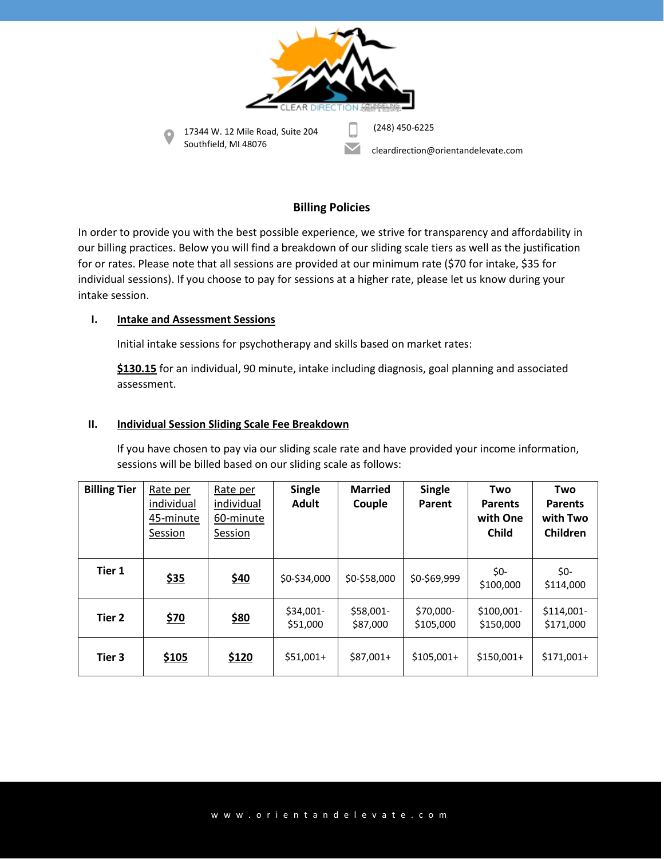

# **Billing Policies**

In order to provide you with the best possible experience, we strive for transparency and affordability in our billing practices. Below you will find a breakdown of our sliding scale tiers as well as the justification for or rates. Please note that all sessions are provided at our minimum rate (\$70 for intake, \$35 for individual sessions). If you choose to pay for sessions at a higher rate, please let us know during your intake session.

## **I. Intake and Assessment Sessions**

Initial intake sessions for psychotherapy and skills based on market rates:

**\$130.15** for an individual, 90 minute, intake including diagnosis, goal planning and associated assessment.

### **II. Individual Session Sliding Scale Fee Breakdown**

If you have chosen to pay via our sliding scale rate and have provided your income information, sessions will be billed based on our sliding scale as follows:

| <b>Billing Tier</b> | Rate per<br>individual<br>45-minute<br>Session | Rate per<br>individual<br>60-minute<br>Session | <b>Single</b><br>Adult | <b>Married</b><br>Couple | <b>Single</b><br>Parent | Two<br><b>Parents</b><br>with One<br><b>Child</b> | Two<br><b>Parents</b><br>with Two<br>Children |
|---------------------|------------------------------------------------|------------------------------------------------|------------------------|--------------------------|-------------------------|---------------------------------------------------|-----------------------------------------------|
| Tier 1              | \$35                                           | \$40                                           | \$0-\$34,000           | \$0-\$58,000             | \$0-\$69,999            | \$0-<br>\$100,000                                 | \$0-<br>\$114,000                             |
| Tier 2              | \$70                                           | \$80                                           | \$34,001-<br>\$51,000  | \$58,001-<br>\$87,000    | \$70,000-<br>\$105,000  | $$100,001-$<br>\$150,000                          | $$114,001-$<br>\$171,000                      |
| Tier 3              | <u>\$105</u>                                   | \$120                                          | $$51,001+$             | $$87,001+$               | $$105,001+$             | $$150,001+$                                       | $$171,001+$                                   |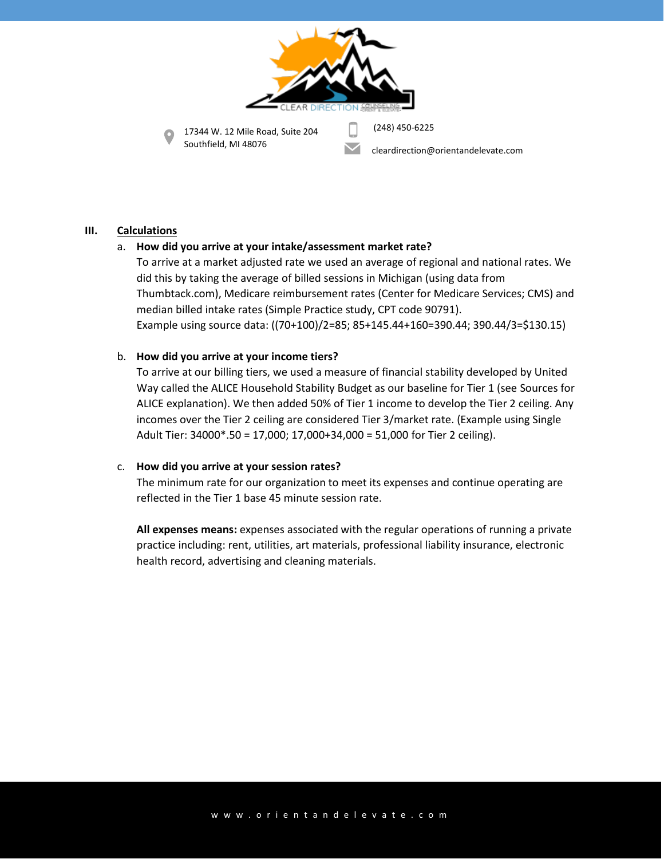

17344 W. 12 Mile Road, Suite 204 Southfield, MI 48076

(248) 450-6225

cleardirection@orientandelevate.com

## **III. Calculations**

# a. **How did you arrive at your intake/assessment market rate?**

To arrive at a market adjusted rate we used an average of regional and national rates. We did this by taking the average of billed sessions in Michigan (using data from Thumbtack.com), Medicare reimbursement rates (Center for Medicare Services; CMS) and median billed intake rates (Simple Practice study, CPT code 90791). Example using source data: ((70+100)/2=85; 85+145.44+160=390.44; 390.44/3=\$130.15)

## b. **How did you arrive at your income tiers?**

To arrive at our billing tiers, we used a measure of financial stability developed by United Way called the ALICE Household Stability Budget as our baseline for Tier 1 (see Sources for ALICE explanation). We then added 50% of Tier 1 income to develop the Tier 2 ceiling. Any incomes over the Tier 2 ceiling are considered Tier 3/market rate. (Example using Single Adult Tier: 34000\*.50 = 17,000; 17,000+34,000 = 51,000 for Tier 2 ceiling).

## c. **How did you arrive at your session rates?**

The minimum rate for our organization to meet its expenses and continue operating are reflected in the Tier 1 base 45 minute session rate.

**All expenses means:** expenses associated with the regular operations of running a private practice including: rent, utilities, art materials, professional liability insurance, electronic health record, advertising and cleaning materials.